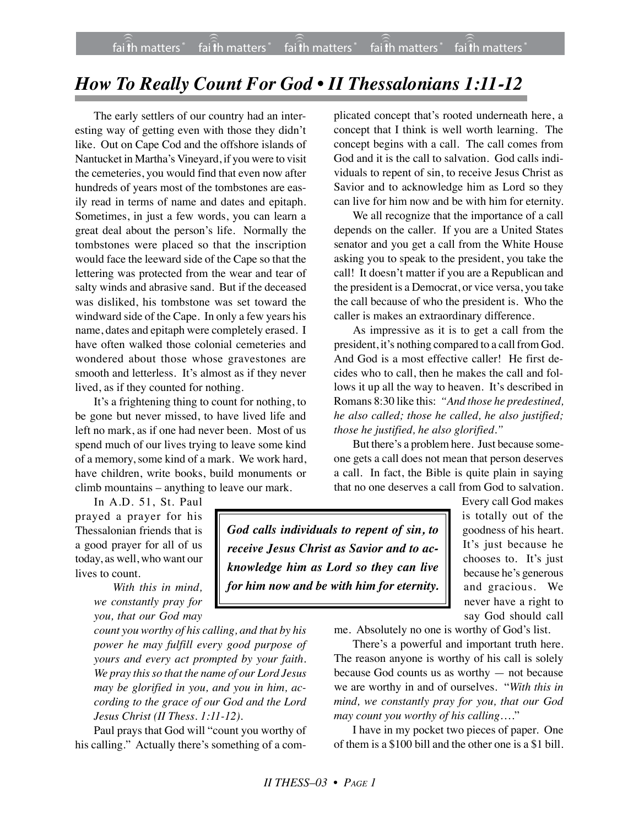## *How To Really Count For God • II Thessalonians 1:11-12*

The early settlers of our country had an interesting way of getting even with those they didn't like. Out on Cape Cod and the offshore islands of Nantucket in Martha's Vineyard, if you were to visit the cemeteries, you would find that even now after hundreds of years most of the tombstones are easily read in terms of name and dates and epitaph. Sometimes, in just a few words, you can learn a great deal about the person's life. Normally the tombstones were placed so that the inscription would face the leeward side of the Cape so that the lettering was protected from the wear and tear of salty winds and abrasive sand. But if the deceased was disliked, his tombstone was set toward the windward side of the Cape. In only a few years his name, dates and epitaph were completely erased. I have often walked those colonial cemeteries and wondered about those whose gravestones are smooth and letterless. It's almost as if they never lived, as if they counted for nothing.

It's a frightening thing to count for nothing, to be gone but never missed, to have lived life and left no mark, as if one had never been. Most of us spend much of our lives trying to leave some kind of a memory, some kind of a mark. We work hard, have children, write books, build monuments or climb mountains – anything to leave our mark.

In A.D. 51, St. Paul prayed a prayer for his Thessalonian friends that is a good prayer for all of us today, as well, who want our lives to count.

> *With this in mind, we constantly pray for you, that our God may*

*count you worthy of his calling, and that by his power he may fulfill every good purpose of yours and every act prompted by your faith. We pray this so that the name of our Lord Jesus may be glorified in you, and you in him, according to the grace of our God and the Lord Jesus Christ (II Thess. 1:11-12).*

Paul prays that God will "count you worthy of his calling." Actually there's something of a com-

plicated concept that's rooted underneath here, a concept that I think is well worth learning. The concept begins with a call. The call comes from God and it is the call to salvation. God calls individuals to repent of sin, to receive Jesus Christ as Savior and to acknowledge him as Lord so they can live for him now and be with him for eternity.

We all recognize that the importance of a call depends on the caller. If you are a United States senator and you get a call from the White House asking you to speak to the president, you take the call! It doesn't matter if you are a Republican and the president is a Democrat, or vice versa, you take the call because of who the president is. Who the caller is makes an extraordinary difference.

As impressive as it is to get a call from the president, it's nothing compared to a call from God. And God is a most effective caller! He first decides who to call, then he makes the call and follows it up all the way to heaven. It's described in Romans 8:30 like this: *"And those he predestined, he also called; those he called, he also justified; those he justified, he also glorified."*

But there's a problem here. Just because someone gets a call does not mean that person deserves a call. In fact, the Bible is quite plain in saying that no one deserves a call from God to salvation.

*God calls individuals to repent of sin, to receive Jesus Christ as Savior and to acknowledge him as Lord so they can live for him now and be with him for eternity.* Every call God makes is totally out of the goodness of his heart. It's just because he chooses to. It's just because he's generous and gracious. We never have a right to say God should call

me. Absolutely no one is worthy of God's list.

There's a powerful and important truth here. The reason anyone is worthy of his call is solely because God counts us as worthy — not because we are worthy in and of ourselves. "*With this in mind, we constantly pray for you, that our God may count you worthy of his calling*…."

I have in my pocket two pieces of paper. One of them is a \$100 bill and the other one is a \$1 bill.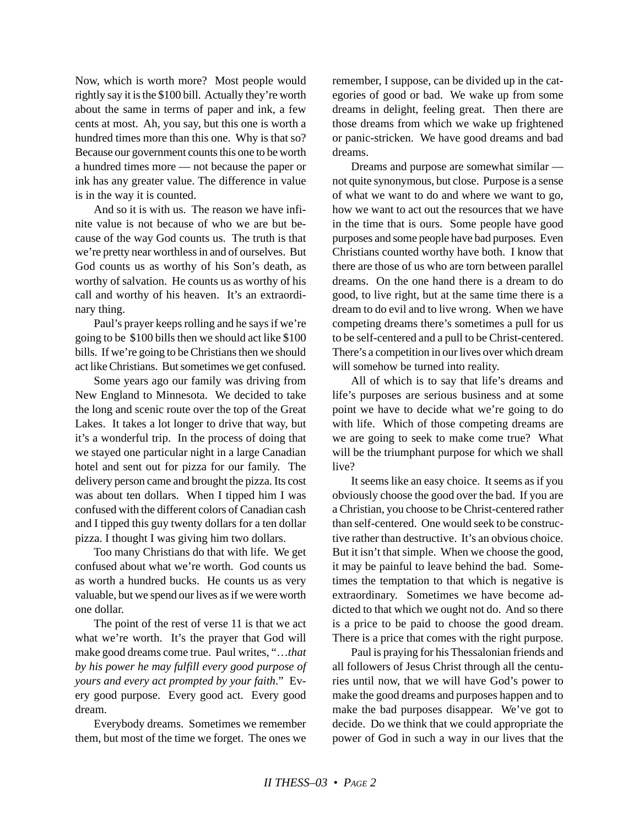Now, which is worth more? Most people would rightly say it is the \$100 bill. Actually they're worth about the same in terms of paper and ink, a few cents at most. Ah, you say, but this one is worth a hundred times more than this one. Why is that so? Because our government counts this one to be worth a hundred times more — not because the paper or ink has any greater value. The difference in value is in the way it is counted.

And so it is with us. The reason we have infinite value is not because of who we are but because of the way God counts us. The truth is that we're pretty near worthless in and of ourselves. But God counts us as worthy of his Son's death, as worthy of salvation. He counts us as worthy of his call and worthy of his heaven. It's an extraordinary thing.

Paul's prayer keeps rolling and he says if we're going to be \$100 bills then we should act like \$100 bills. If we're going to be Christians then we should act like Christians. But sometimes we get confused.

Some years ago our family was driving from New England to Minnesota. We decided to take the long and scenic route over the top of the Great Lakes. It takes a lot longer to drive that way, but it's a wonderful trip. In the process of doing that we stayed one particular night in a large Canadian hotel and sent out for pizza for our family. The delivery person came and brought the pizza. Its cost was about ten dollars. When I tipped him I was confused with the different colors of Canadian cash and I tipped this guy twenty dollars for a ten dollar pizza. I thought I was giving him two dollars.

Too many Christians do that with life. We get confused about what we're worth. God counts us as worth a hundred bucks. He counts us as very valuable, but we spend our lives as if we were worth one dollar.

The point of the rest of verse 11 is that we act what we're worth. It's the prayer that God will make good dreams come true. Paul writes, "…*that by his power he may fulfill every good purpose of yours and every act prompted by your faith*." Every good purpose. Every good act. Every good dream.

Everybody dreams. Sometimes we remember them, but most of the time we forget. The ones we remember, I suppose, can be divided up in the categories of good or bad. We wake up from some dreams in delight, feeling great. Then there are those dreams from which we wake up frightened or panic-stricken. We have good dreams and bad dreams.

Dreams and purpose are somewhat similar not quite synonymous, but close. Purpose is a sense of what we want to do and where we want to go, how we want to act out the resources that we have in the time that is ours. Some people have good purposes and some people have bad purposes. Even Christians counted worthy have both. I know that there are those of us who are torn between parallel dreams. On the one hand there is a dream to do good, to live right, but at the same time there is a dream to do evil and to live wrong. When we have competing dreams there's sometimes a pull for us to be self-centered and a pull to be Christ-centered. There's a competition in our lives over which dream will somehow be turned into reality.

All of which is to say that life's dreams and life's purposes are serious business and at some point we have to decide what we're going to do with life. Which of those competing dreams are we are going to seek to make come true? What will be the triumphant purpose for which we shall live?

It seems like an easy choice. It seems as if you obviously choose the good over the bad. If you are a Christian, you choose to be Christ-centered rather than self-centered. One would seek to be constructive rather than destructive. It's an obvious choice. But it isn't that simple. When we choose the good, it may be painful to leave behind the bad. Sometimes the temptation to that which is negative is extraordinary. Sometimes we have become addicted to that which we ought not do. And so there is a price to be paid to choose the good dream. There is a price that comes with the right purpose.

Paul is praying for his Thessalonian friends and all followers of Jesus Christ through all the centuries until now, that we will have God's power to make the good dreams and purposes happen and to make the bad purposes disappear. We've got to decide. Do we think that we could appropriate the power of God in such a way in our lives that the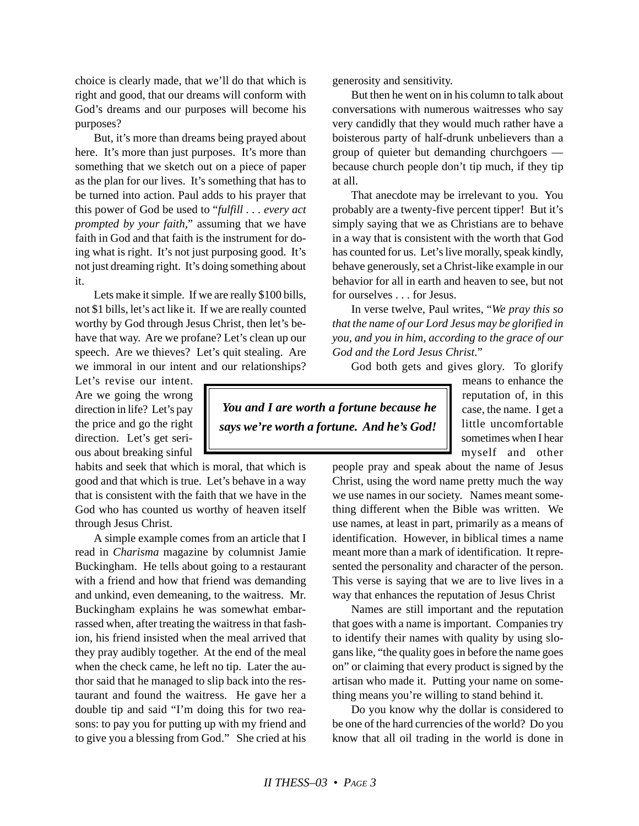choice is clearly made, that we'll do that which is right and good, that our dreams will conform with God's dreams and our purposes will become his purposes?

But, it's more than dreams being prayed about here. It's more than just purposes. It's more than something that we sketch out on a piece of paper as the plan for our lives. It's something that has to be turned into action. Paul adds to his prayer that this power of God be used to "*fulfill . . . every act prompted by your faith,*" assuming that we have faith in God and that faith is the instrument for doing what is right. It's not just purposing good. It's not just dreaming right. It's doing something about it.

Lets make it simple. If we are really \$100 bills, not \$1 bills, let's act like it. If we are really counted worthy by God through Jesus Christ, then let's behave that way. Are we profane? Let's clean up our speech. Are we thieves? Let's quit stealing. Are we immoral in our intent and our relationships?

Let's revise our intent. Are we going the wrong direction in life? Let's pay the price and go the right direction. Let's get serious about breaking sinful

habits and seek that which is moral, that which is good and that which is true. Let's behave in a way that is consistent with the faith that we have in the God who has counted us worthy of heaven itself through Jesus Christ.

A simple example comes from an article that I read in *Charisma* magazine by columnist Jamie Buckingham. He tells about going to a restaurant with a friend and how that friend was demanding and unkind, even demeaning, to the waitress. Mr. Buckingham explains he was somewhat embarrassed when, after treating the waitress in that fashion, his friend insisted when the meal arrived that they pray audibly together. At the end of the meal when the check came, he left no tip. Later the author said that he managed to slip back into the restaurant and found the waitress. He gave her a double tip and said "I'm doing this for two reasons: to pay you for putting up with my friend and to give you a blessing from God." She cried at his generosity and sensitivity.

But then he went on in his column to talk about conversations with numerous waitresses who say very candidly that they would much rather have a boisterous party of half-drunk unbelievers than a group of quieter but demanding churchgoers because church people don't tip much, if they tip at all.

That anecdote may be irrelevant to you. You probably are a twenty-five percent tipper! But it's simply saying that we as Christians are to behave in a way that is consistent with the worth that God has counted for us. Let's live morally, speak kindly, behave generously, set a Christ-like example in our behavior for all in earth and heaven to see, but not for ourselves . . . for Jesus.

In verse twelve, Paul writes, "*We pray this so that the name of our Lord Jesus may be glorified in you, and you in him, according to the grace of our God and the Lord Jesus Christ*."

God both gets and gives glory. To glorify

 *You and I are worth a fortune because he says we're worth a fortune. And he's God!*

means to enhance the reputation of, in this case, the name. I get a little uncomfortable sometimes when I hear myself and other

people pray and speak about the name of Jesus Christ, using the word name pretty much the way we use names in our society. Names meant something different when the Bible was written. We use names, at least in part, primarily as a means of identification. However, in biblical times a name meant more than a mark of identification. It represented the personality and character of the person. This verse is saying that we are to live lives in a way that enhances the reputation of Jesus Christ

Names are still important and the reputation that goes with a name is important. Companies try to identify their names with quality by using slogans like, "the quality goes in before the name goes on" or claiming that every product is signed by the artisan who made it. Putting your name on something means you're willing to stand behind it.

Do you know why the dollar is considered to be one of the hard currencies of the world? Do you know that all oil trading in the world is done in